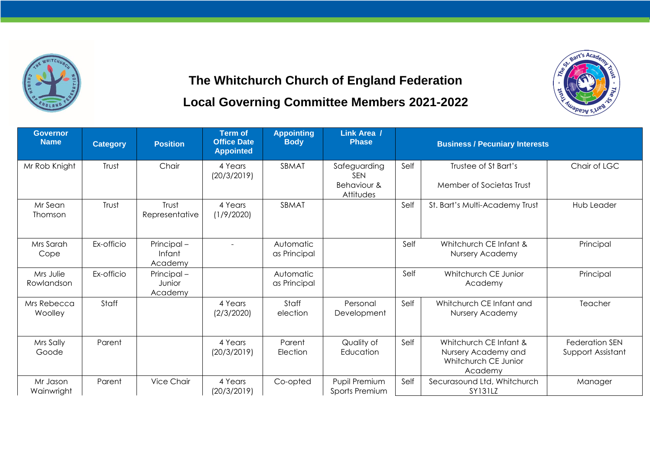

## **The Whitchurch Church of England Federation Local Governing Committee Members 2021-2022**

Bart's Acade